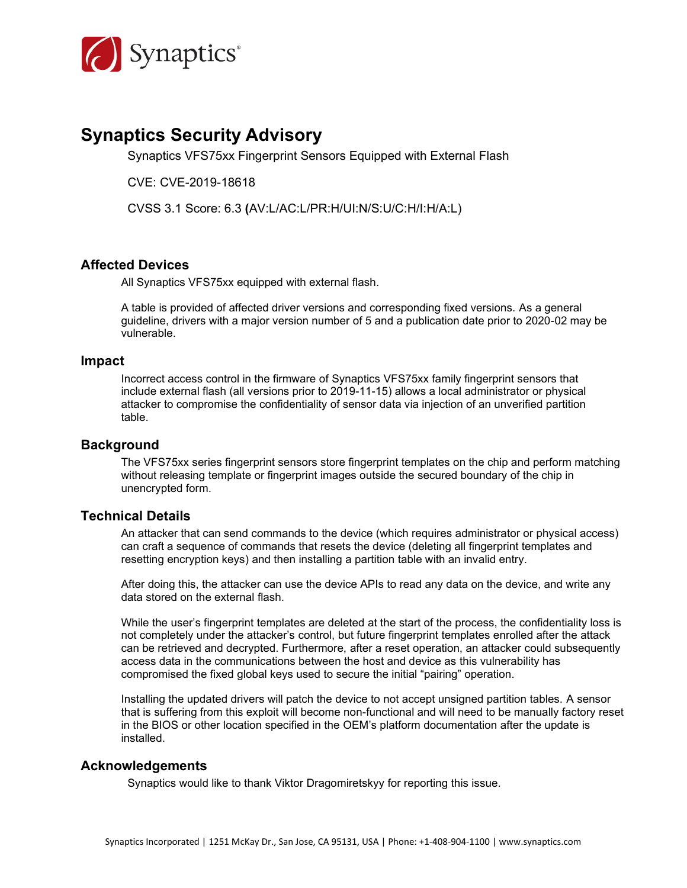

# **Synaptics Security Advisory**

Synaptics VFS75xx Fingerprint Sensors Equipped with External Flash

CVE: CVE-2019-18618

CVSS 3.1 Score: 6.3 **(**AV:L/AC:L/PR:H/UI:N/S:U/C:H/I:H/A:L)

#### **Affected Devices**

All Synaptics VFS75xx equipped with external flash.

A table is provided of affected driver versions and corresponding fixed versions. As a general guideline, drivers with a major version number of 5 and a publication date prior to 2020-02 may be vulnerable.

#### **Impact**

Incorrect access control in the firmware of Synaptics VFS75xx family fingerprint sensors that include external flash (all versions prior to 2019-11-15) allows a local administrator or physical attacker to compromise the confidentiality of sensor data via injection of an unverified partition table.

#### **Background**

The VFS75xx series fingerprint sensors store fingerprint templates on the chip and perform matching without releasing template or fingerprint images outside the secured boundary of the chip in unencrypted form.

#### **Technical Details**

An attacker that can send commands to the device (which requires administrator or physical access) can craft a sequence of commands that resets the device (deleting all fingerprint templates and resetting encryption keys) and then installing a partition table with an invalid entry.

After doing this, the attacker can use the device APIs to read any data on the device, and write any data stored on the external flash.

While the user's fingerprint templates are deleted at the start of the process, the confidentiality loss is not completely under the attacker's control, but future fingerprint templates enrolled after the attack can be retrieved and decrypted. Furthermore, after a reset operation, an attacker could subsequently access data in the communications between the host and device as this vulnerability has compromised the fixed global keys used to secure the initial "pairing" operation.

Installing the updated drivers will patch the device to not accept unsigned partition tables. A sensor that is suffering from this exploit will become non-functional and will need to be manually factory reset in the BIOS or other location specified in the OEM's platform documentation after the update is installed.

#### **Acknowledgements**

Synaptics would like to thank Viktor Dragomiretskyy for reporting this issue.